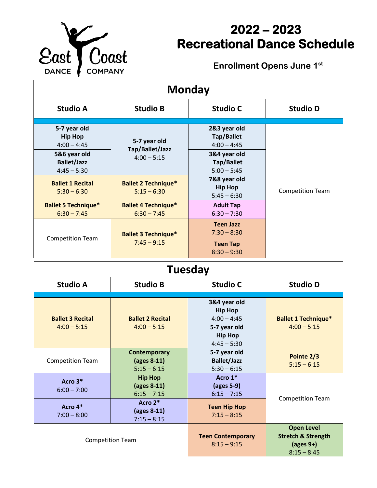

## **Recreational Dance Schedule**

 **Enrollment Opens June 1st**

| <b>Monday</b>                                                                                          |                                                  |                                                                                                                          |                         |
|--------------------------------------------------------------------------------------------------------|--------------------------------------------------|--------------------------------------------------------------------------------------------------------------------------|-------------------------|
| <b>Studio A</b>                                                                                        | <b>Studio B</b>                                  | <b>Studio C</b>                                                                                                          | <b>Studio D</b>         |
| 5-7 year old<br><b>Hip Hop</b><br>$4:00 - 4:45$<br>5&6 year old<br><b>Ballet/Jazz</b><br>$4:45 - 5:30$ | 5-7 year old<br>Tap/Ballet/Jazz<br>$4:00 - 5:15$ | 2&3 year old<br><b>Tap/Ballet</b><br>$4:00 - 4:45$<br>3&4 year old<br><b>Tap/Ballet</b><br>$5:00 - 5:45$<br>7&8 year old |                         |
| <b>Ballet 1 Recital</b><br>$5:30 - 6:30$                                                               | <b>Ballet 2 Technique*</b><br>$5:15 - 6:30$      | <b>Hip Hop</b><br>$5:45 - 6:30$                                                                                          | <b>Competition Team</b> |
| <b>Ballet 5 Technique*</b><br>$6:30 - 7:45$                                                            | <b>Ballet 4 Technique*</b><br>$6:30 - 7:45$      | <b>Adult Tap</b><br>$6:30 - 7:30$                                                                                        |                         |
| <b>Competition Team</b>                                                                                | <b>Ballet 3 Technique*</b><br>$7:45 - 9:15$      | <b>Teen Jazz</b><br>$7:30 - 8:30$                                                                                        |                         |
|                                                                                                        |                                                  | <b>Teen Tap</b><br>$8:30 - 9:30$                                                                                         |                         |

| <b>Tuesday</b>                           |                                                     |                                                                                                    |                                                                                                |
|------------------------------------------|-----------------------------------------------------|----------------------------------------------------------------------------------------------------|------------------------------------------------------------------------------------------------|
| <b>Studio A</b>                          | <b>Studio B</b>                                     | <b>Studio C</b>                                                                                    | <b>Studio D</b>                                                                                |
| <b>Ballet 3 Recital</b><br>$4:00 - 5:15$ | <b>Ballet 2 Recital</b><br>$4:00 - 5:15$            | 3&4 year old<br><b>Hip Hop</b><br>$4:00 - 4:45$<br>5-7 year old<br><b>Hip Hop</b><br>$4:45 - 5:30$ | <b>Ballet 1 Technique*</b><br>$4:00 - 5:15$                                                    |
| <b>Competition Team</b>                  | <b>Contemporary</b><br>(ages 8-11)<br>$5:15 - 6:15$ | 5-7 year old<br><b>Ballet/Jazz</b><br>$5:30 - 6:15$                                                | Pointe 2/3<br>$5:15 - 6:15$                                                                    |
| Acro $3*$<br>$6:00 - 7:00$               | <b>Hip Hop</b><br>(ages 8-11)<br>$6:15 - 7:15$      | Acro $1*$<br>(ages 5-9)<br>$6:15 - 7:15$                                                           | <b>Competition Team</b>                                                                        |
| Acro 4*<br>$7:00 - 8:00$                 | Acro 2*<br>(ages 8-11)<br>$7:15 - 8:15$             | <b>Teen Hip Hop</b><br>$7:15 - 8:15$                                                               |                                                                                                |
| <b>Competition Team</b>                  |                                                     | <b>Teen Contemporary</b><br>$8:15 - 9:15$                                                          | <b>Open Level</b><br><b>Stretch &amp; Strength</b><br>$\frac{1}{2}$ (ages 9+)<br>$8:15 - 8:45$ |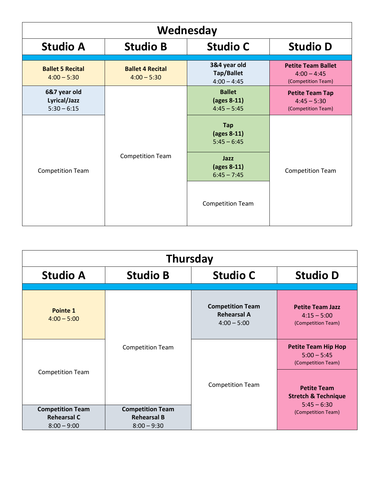| Wednesday                                     |                                          |                                                                      |                                                                  |
|-----------------------------------------------|------------------------------------------|----------------------------------------------------------------------|------------------------------------------------------------------|
| <b>Studio A</b>                               | <b>Studio B</b>                          | <b>Studio C</b>                                                      | <b>Studio D</b>                                                  |
| <b>Ballet 5 Recital</b><br>$4:00 - 5:30$      | <b>Ballet 4 Recital</b><br>$4:00 - 5:30$ | 3&4 year old<br>Tap/Ballet<br>$4:00 - 4:45$                          | <b>Petite Team Ballet</b><br>$4:00 - 4:45$<br>(Competition Team) |
| 6&7 year old<br>Lyrical/Jazz<br>$5:30 - 6:15$ | <b>Competition Team</b>                  | <b>Ballet</b><br>$\left( \text{ages } 8-11 \right)$<br>$4:45 - 5:45$ | <b>Petite Team Tap</b><br>$4:45 - 5:30$<br>(Competition Team)    |
| <b>Competition Team</b>                       |                                          | <b>Tap</b><br>(ages 8-11)<br>$5:45 - 6:45$                           |                                                                  |
|                                               |                                          | Jazz<br>$\left( \text{ages } 8-11 \right)$<br>$6:45 - 7:45$          | <b>Competition Team</b>                                          |
|                                               |                                          | <b>Competition Team</b>                                              |                                                                  |

| <b>Thursday</b>                               |                                               |                                                                |                                                                       |
|-----------------------------------------------|-----------------------------------------------|----------------------------------------------------------------|-----------------------------------------------------------------------|
| <b>Studio A</b>                               | <b>Studio B</b>                               | <b>Studio C</b>                                                | <b>Studio D</b>                                                       |
| Pointe 1<br>$4:00 - 5:00$                     | <b>Competition Team</b>                       | <b>Competition Team</b><br><b>Rehearsal A</b><br>$4:00 - 5:00$ | <b>Petite Team Jazz</b><br>$4:15 - 5:00$<br>(Competition Team)        |
| <b>Competition Team</b>                       |                                               |                                                                | <b>Petite Team Hip Hop</b><br>$5:00 - 5:45$<br>(Competition Team)     |
|                                               |                                               | <b>Competition Team</b>                                        | <b>Petite Team</b><br><b>Stretch &amp; Technique</b><br>$5:45 - 6:30$ |
| <b>Competition Team</b><br><b>Rehearsal C</b> | <b>Competition Team</b><br><b>Rehearsal B</b> |                                                                | (Competition Team)                                                    |
| $8:00 - 9:00$                                 | $8:00 - 9:30$                                 |                                                                |                                                                       |